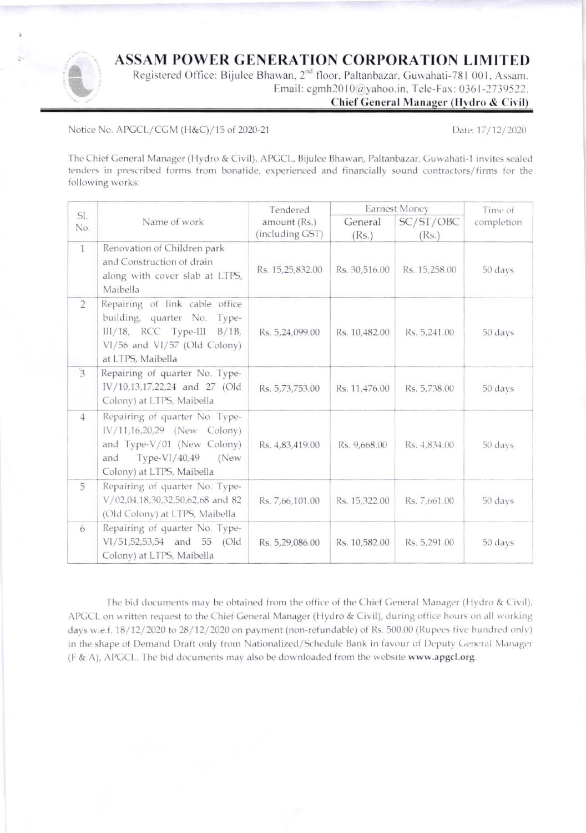## **ASSAM POWER GENERATION CORPORATION LIMITED**

Registered Office: Bijulee Bhawan, 2<sup>nd</sup> floor, Paltanbazar, Guwahati-781 001, Assam. Email: cgmh2010@yahoo.in, Tele-Fax: 0361-2739522.

## Chief General Manager (Hydro & Civil)

Notice No. APGCL/CGM (H&C)/15 of 2020-21

Date: 17/12/2020

The Chief General Manager (Hydro & Civil), APGCL, Bijulee Bhawan, Paltanbazar, Guwahati-1 invites sealed tenders in prescribed forms from bonafide, experienced and financially sound contractors/firms for the following works:

|                |                                                                                                                                                           | Tendered         | Earnest Money |               | Time of    |
|----------------|-----------------------------------------------------------------------------------------------------------------------------------------------------------|------------------|---------------|---------------|------------|
| SI.<br>No.     | Name of work                                                                                                                                              | amount (Rs.)     | General       | SC/ST/OBC     | completion |
|                |                                                                                                                                                           | (including GST)  | (Rs.)         | (Rs.)         |            |
| $\mathbf{1}$   | Renovation of Children park<br>and Construction of drain<br>along with cover slab at LTPS,<br>Maibella                                                    | Rs. 15,25,832.00 | Rs. 30,516.00 | Rs. 15,258.00 | 50 days    |
| $\overline{2}$ | Repairing of link cable office<br>building, quarter No. Type-<br>$III/18$ , RCC Type-III<br>$B/1B$ ,<br>VI/56 and VI/57 (Old Colony)<br>at LTPS, Maibella | Rs. 5,24,099.00  | Rs. 10,482.00 | Rs. 5,241.00  | 50 days    |
| $\overline{3}$ | Repairing of quarter No. Type-<br>IV/10,13,17,22,24 and 27 (Old<br>Colony) at LTPS, Maibella                                                              | Rs. 5,73,753.00  | Rs. 11,476.00 | Rs. 5,738.00  | 50 days    |
| $\overline{4}$ | Repairing of quarter No. Type-<br>IV/11,16,20,29 (New Colony)<br>and Type-V/01 (New Colony)<br>Type-VI/40,49<br>and<br>(New<br>Colony) at LTPS, Maibella  | Rs. 4,83,419.00  | Rs. 9,668.00  | Rs. 4,834.00  | 50 days    |
| 5              | Repairing of quarter No. Type-<br>V/02,04,18,30,32,50,62,68 and 82<br>(Old Colony) at LTPS, Maibella                                                      | Rs. 7,66,101.00  | Rs. 15,322.00 | Rs. 7,661.00  | 50 days    |
| 6              | Repairing of quarter No. Type-<br>VI/51,52,53,54 and 55 (Old<br>Colony) at LTPS, Maibella                                                                 | Rs. 5,29,086.00  | Rs. 10,582.00 | Rs. 5,291.00  | 50 days    |

The bid documents may be obtained from the office of the Chief General Manager (Hydro & Civil), APGCL on written request to the Chief General Manager (Hydro & Civil), during office hours on all working days w.e.f. 18/12/2020 to 28/12/2020 on payment (non-refundable) of Rs. 500.00 (Rupees five hundred only) in the shape of Demand Draft only from Nationalized/Schedule Bank in favour of Deputy General Manager (F & A), APGCL. The bid documents may also be downloaded from the website www.apgcl.org.